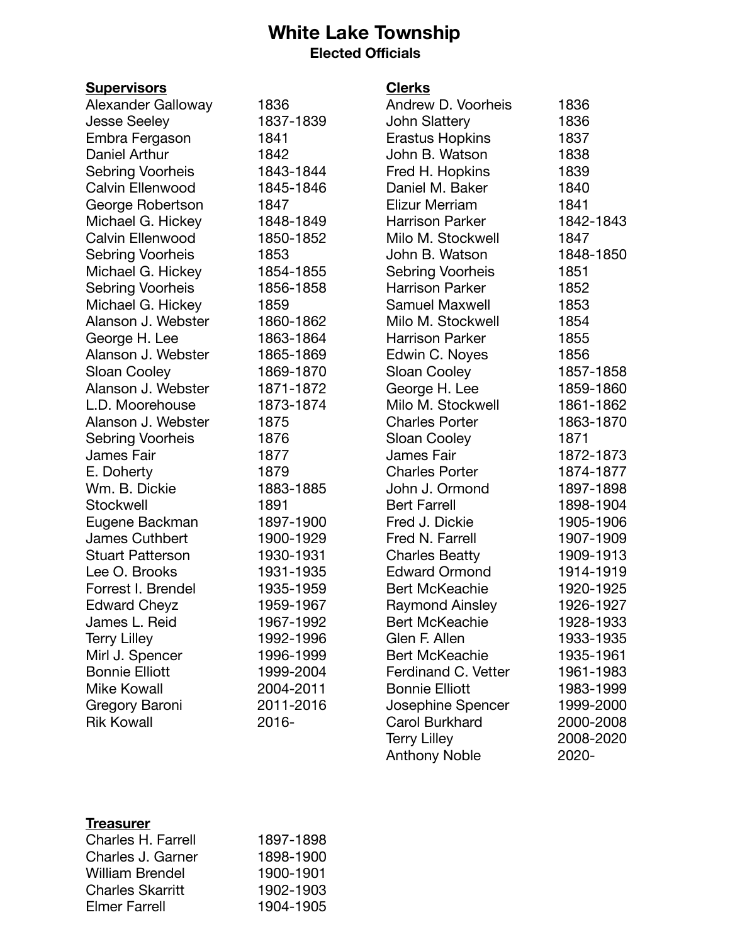## **White Lake Township Elected Officials**

| <b>Supervisors</b>        |           | <b>Clerks</b>          |           |
|---------------------------|-----------|------------------------|-----------|
| <b>Alexander Galloway</b> | 1836      | Andrew D. Voorheis     | 1836      |
| <b>Jesse Seeley</b>       | 1837-1839 | <b>John Slattery</b>   | 1836      |
| Embra Fergason            | 1841      | Erastus Hopkins        | 1837      |
| Daniel Arthur             | 1842      | John B. Watson         | 1838      |
| Sebring Voorheis          | 1843-1844 | Fred H. Hopkins        | 1839      |
| Calvin Ellenwood          | 1845-1846 | Daniel M. Baker        | 1840      |
| George Robertson          | 1847      | Elizur Merriam         | 1841      |
| Michael G. Hickey         | 1848-1849 | <b>Harrison Parker</b> | 1842-1843 |
| Calvin Ellenwood          | 1850-1852 | Milo M. Stockwell      | 1847      |
| Sebring Voorheis          | 1853      | John B. Watson         | 1848-1850 |
| Michael G. Hickey         | 1854-1855 | Sebring Voorheis       | 1851      |
| Sebring Voorheis          | 1856-1858 | <b>Harrison Parker</b> | 1852      |
| Michael G. Hickey         | 1859      | <b>Samuel Maxwell</b>  | 1853      |
| Alanson J. Webster        | 1860-1862 | Milo M. Stockwell      | 1854      |
| George H. Lee             | 1863-1864 | <b>Harrison Parker</b> | 1855      |
| Alanson J. Webster        | 1865-1869 | Edwin C. Noyes         | 1856      |
| Sloan Cooley              | 1869-1870 | Sloan Cooley           | 1857-1858 |
| Alanson J. Webster        | 1871-1872 | George H. Lee          | 1859-1860 |
| L.D. Moorehouse           | 1873-1874 | Milo M. Stockwell      | 1861-1862 |
| Alanson J. Webster        | 1875      | <b>Charles Porter</b>  | 1863-1870 |
| Sebring Voorheis          | 1876      | Sloan Cooley           | 1871      |
| James Fair                | 1877      | James Fair             | 1872-1873 |
| E. Doherty                | 1879      | <b>Charles Porter</b>  | 1874-1877 |
| Wm. B. Dickie             | 1883-1885 | John J. Ormond         | 1897-1898 |
| Stockwell                 | 1891      | <b>Bert Farrell</b>    | 1898-1904 |
| Eugene Backman            | 1897-1900 | Fred J. Dickie         | 1905-1906 |
| <b>James Cuthbert</b>     | 1900-1929 | Fred N. Farrell        | 1907-1909 |
| <b>Stuart Patterson</b>   | 1930-1931 | <b>Charles Beatty</b>  | 1909-1913 |
| Lee O. Brooks             | 1931-1935 | <b>Edward Ormond</b>   | 1914-1919 |
| Forrest I. Brendel        | 1935-1959 | <b>Bert McKeachie</b>  | 1920-1925 |
| <b>Edward Cheyz</b>       | 1959-1967 | <b>Raymond Ainsley</b> | 1926-1927 |
| James L. Reid             | 1967-1992 | <b>Bert McKeachie</b>  | 1928-1933 |
| <b>Terry Lilley</b>       | 1992-1996 | Glen F. Allen          | 1933-1935 |
| Mirl J. Spencer           | 1996-1999 | <b>Bert McKeachie</b>  | 1935-1961 |
| <b>Bonnie Elliott</b>     | 1999-2004 | Ferdinand C. Vetter    | 1961-1983 |
| <b>Mike Kowall</b>        | 2004-2011 | <b>Bonnie Elliott</b>  | 1983-1999 |
| Gregory Baroni            | 2011-2016 | Josephine Spencer      | 1999-2000 |
| <b>Rik Kowall</b>         | 2016-     | <b>Carol Burkhard</b>  | 2000-2008 |
|                           |           | <b>Terry Lilley</b>    | 2008-2020 |

Anthony Noble **2020-**

#### **Treasurer**

| Charles H. Farrell      | 1897-1898 |
|-------------------------|-----------|
| Charles J. Garner       | 1898-1900 |
| <b>William Brendel</b>  | 1900-1901 |
| <b>Charles Skarritt</b> | 1902-1903 |
| <b>Elmer Farrell</b>    | 1904-1905 |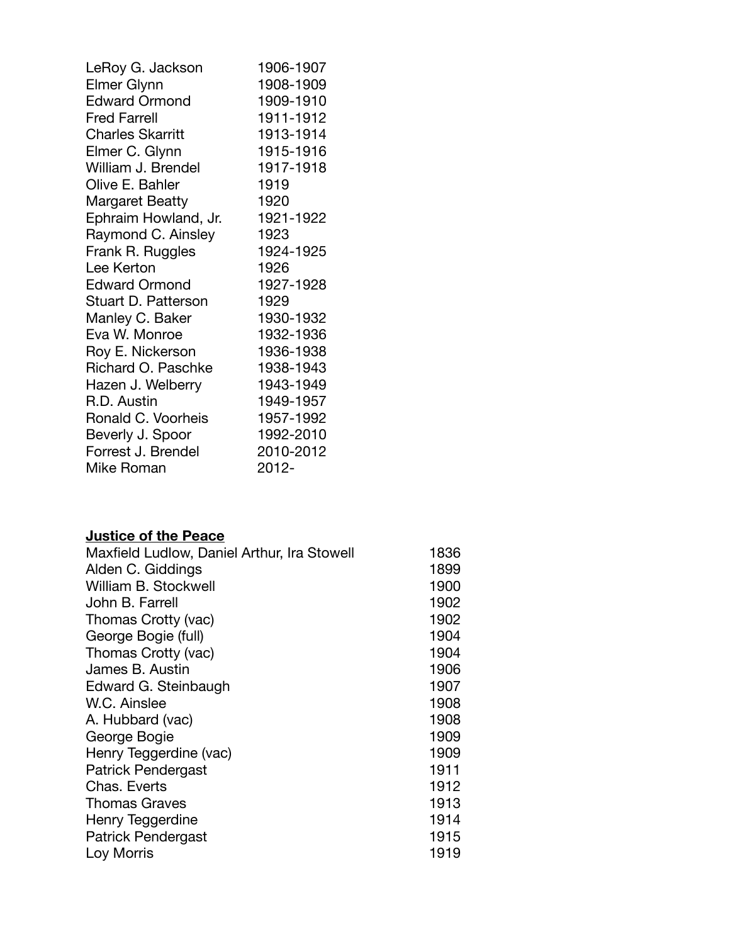| LeRoy G. Jackson        | 1906-1907 |
|-------------------------|-----------|
| Elmer Glynn             | 1908-1909 |
| <b>Edward Ormond</b>    | 1909-1910 |
| <b>Fred Farrell</b>     | 1911-1912 |
| <b>Charles Skarritt</b> | 1913-1914 |
| Elmer C. Glynn          | 1915-1916 |
| William J. Brendel      | 1917-1918 |
| Olive E. Bahler         | 1919      |
| <b>Margaret Beatty</b>  | 1920      |
| Ephraim Howland, Jr.    | 1921-1922 |
| Raymond C. Ainsley      | 1923      |
| Frank R. Ruggles        | 1924-1925 |
| Lee Kerton              | 1926      |
| <b>Edward Ormond</b>    | 1927-1928 |
| Stuart D. Patterson     | 1929      |
| Manley C. Baker         | 1930-1932 |
| Eva W. Monroe           | 1932-1936 |
| Roy E. Nickerson        | 1936-1938 |
| Richard O. Paschke      | 1938-1943 |
| Hazen J. Welberry       | 1943-1949 |
| R.D. Austin             | 1949-1957 |
| Ronald C. Voorheis      | 1957-1992 |
| Beverly J. Spoor        | 1992-2010 |
| Forrest J. Brendel      | 2010-2012 |
| <b>Mike Roman</b>       | 2012-     |

## **Justice of the Peace**

| Maxfield Ludlow, Daniel Arthur, Ira Stowell | 1836 |
|---------------------------------------------|------|
| Alden C. Giddings                           | 1899 |
| William B. Stockwell                        | 1900 |
| John B. Farrell                             | 1902 |
| Thomas Crotty (vac)                         | 1902 |
| George Bogie (full)                         | 1904 |
| Thomas Crotty (vac)                         | 1904 |
| James B. Austin                             | 1906 |
| Edward G. Steinbaugh                        | 1907 |
| W.C. Ainslee                                | 1908 |
| A. Hubbard (vac)                            | 1908 |
| George Bogie                                | 1909 |
| Henry Teggerdine (vac)                      | 1909 |
| Patrick Pendergast                          | 1911 |
| Chas, Everts                                | 1912 |
| <b>Thomas Graves</b>                        | 1913 |
| Henry Teggerdine                            | 1914 |
| Patrick Pendergast                          | 1915 |
| Loy Morris                                  | 1919 |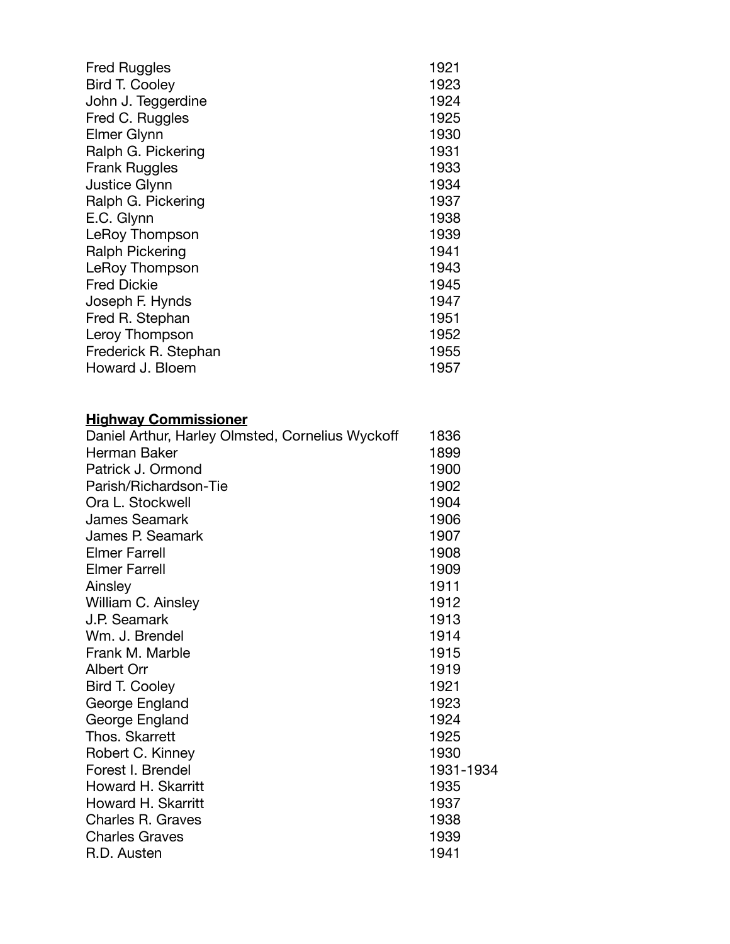| <b>Fred Ruggles</b>                              | 1921 |
|--------------------------------------------------|------|
| <b>Bird T. Cooley</b>                            | 1923 |
| John J. Teggerdine                               | 1924 |
| Fred C. Ruggles                                  | 1925 |
| Elmer Glynn                                      | 1930 |
| Ralph G. Pickering                               | 1931 |
| <b>Frank Ruggles</b>                             | 1933 |
| <b>Justice Glynn</b>                             | 1934 |
| Ralph G. Pickering                               | 1937 |
| E.C. Glynn                                       | 1938 |
| LeRoy Thompson                                   | 1939 |
| <b>Ralph Pickering</b>                           | 1941 |
| LeRoy Thompson                                   | 1943 |
| <b>Fred Dickie</b>                               | 1945 |
| Joseph F. Hynds                                  | 1947 |
| Fred R. Stephan                                  | 1951 |
| Leroy Thompson                                   | 1952 |
| Frederick R. Stephan                             | 1955 |
| Howard J. Bloem                                  | 1957 |
| <b>Highway Commissioner</b>                      |      |
| Daniel Arthur, Harley Olmsted, Cornelius Wyckoff | 1836 |
| Herman Baker                                     | 1899 |
| Patrick J. Ormond                                | 1900 |
| Parish/Richardson-Tie                            | 1902 |

| Patrick J. Ormond     | 1900      |
|-----------------------|-----------|
| Parish/Richardson-Tie | 1902      |
| Ora L. Stockwell      | 1904      |
| <b>James Seamark</b>  | 1906      |
| James P. Seamark      | 1907      |
| <b>Elmer Farrell</b>  | 1908      |
| <b>Elmer Farrell</b>  | 1909      |
| Ainsley               | 1911      |
| William C. Ainsley    | 1912      |
| J.P. Seamark          | 1913      |
| Wm. J. Brendel        | 1914      |
| Frank M. Marble       | 1915      |
| Albert Orr            | 1919      |
| <b>Bird T. Cooley</b> | 1921      |
| George England        | 1923      |
| George England        | 1924      |
| Thos. Skarrett        | 1925      |
| Robert C. Kinney      | 1930      |
| Forest I. Brendel     | 1931-1934 |
| Howard H. Skarritt    | 1935      |
| Howard H. Skarritt    | 1937      |
| Charles R. Graves     | 1938      |
| <b>Charles Graves</b> | 1939      |
| R.D. Austen           | 1941      |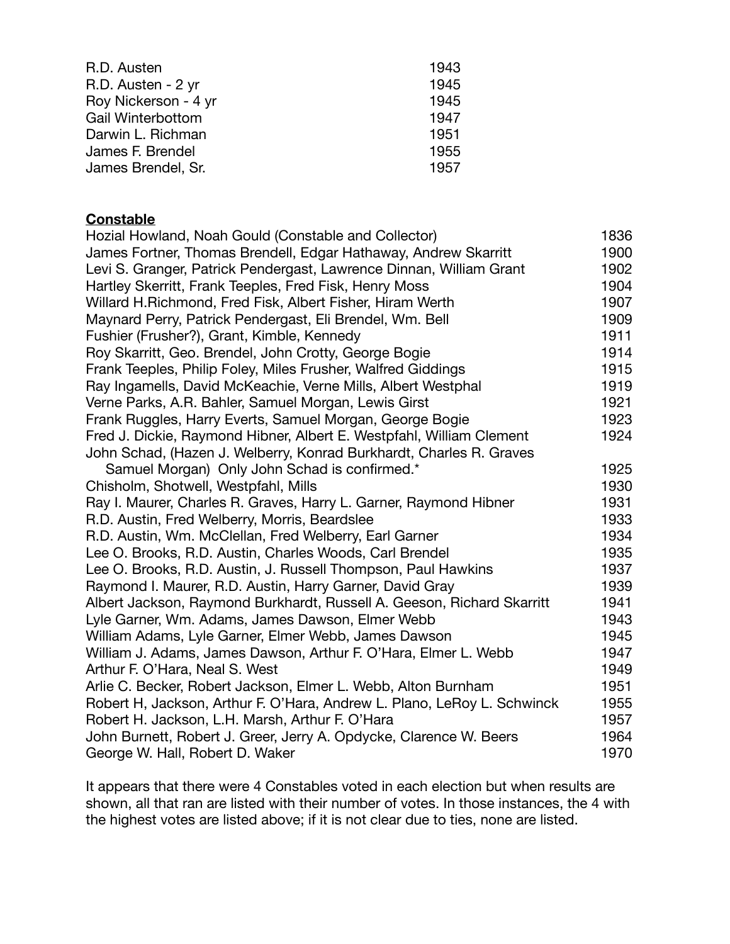| R.D. Austen              | 1943 |
|--------------------------|------|
| R.D. Austen - 2 yr       | 1945 |
| Roy Nickerson - 4 yr     | 1945 |
| <b>Gail Winterbottom</b> | 1947 |
| Darwin L. Richman        | 1951 |
| James F. Brendel         | 1955 |
| James Brendel, Sr.       | 1957 |

### **Constable**

| Hozial Howland, Noah Gould (Constable and Collector)                    | 1836 |
|-------------------------------------------------------------------------|------|
| James Fortner, Thomas Brendell, Edgar Hathaway, Andrew Skarritt         | 1900 |
| Levi S. Granger, Patrick Pendergast, Lawrence Dinnan, William Grant     | 1902 |
| Hartley Skerritt, Frank Teeples, Fred Fisk, Henry Moss                  | 1904 |
| Willard H. Richmond, Fred Fisk, Albert Fisher, Hiram Werth              | 1907 |
| Maynard Perry, Patrick Pendergast, Eli Brendel, Wm. Bell                | 1909 |
| Fushier (Frusher?), Grant, Kimble, Kennedy                              | 1911 |
| Roy Skarritt, Geo. Brendel, John Crotty, George Bogie                   | 1914 |
| Frank Teeples, Philip Foley, Miles Frusher, Walfred Giddings            | 1915 |
| Ray Ingamells, David McKeachie, Verne Mills, Albert Westphal            | 1919 |
| Verne Parks, A.R. Bahler, Samuel Morgan, Lewis Girst                    | 1921 |
| Frank Ruggles, Harry Everts, Samuel Morgan, George Bogie                | 1923 |
| Fred J. Dickie, Raymond Hibner, Albert E. Westpfahl, William Clement    | 1924 |
| John Schad, (Hazen J. Welberry, Konrad Burkhardt, Charles R. Graves     |      |
| Samuel Morgan) Only John Schad is confirmed.*                           | 1925 |
| Chisholm, Shotwell, Westpfahl, Mills                                    | 1930 |
| Ray I. Maurer, Charles R. Graves, Harry L. Garner, Raymond Hibner       | 1931 |
| R.D. Austin, Fred Welberry, Morris, Beardslee                           | 1933 |
| R.D. Austin, Wm. McClellan, Fred Welberry, Earl Garner                  | 1934 |
| Lee O. Brooks, R.D. Austin, Charles Woods, Carl Brendel                 | 1935 |
| Lee O. Brooks, R.D. Austin, J. Russell Thompson, Paul Hawkins           | 1937 |
| Raymond I. Maurer, R.D. Austin, Harry Garner, David Gray                | 1939 |
| Albert Jackson, Raymond Burkhardt, Russell A. Geeson, Richard Skarritt  | 1941 |
| Lyle Garner, Wm. Adams, James Dawson, Elmer Webb                        | 1943 |
| William Adams, Lyle Garner, Elmer Webb, James Dawson                    | 1945 |
| William J. Adams, James Dawson, Arthur F. O'Hara, Elmer L. Webb         | 1947 |
| Arthur F. O'Hara, Neal S. West                                          | 1949 |
| Arlie C. Becker, Robert Jackson, Elmer L. Webb, Alton Burnham           | 1951 |
| Robert H, Jackson, Arthur F. O'Hara, Andrew L. Plano, LeRoy L. Schwinck | 1955 |
| Robert H. Jackson, L.H. Marsh, Arthur F. O'Hara                         | 1957 |
| John Burnett, Robert J. Greer, Jerry A. Opdycke, Clarence W. Beers      | 1964 |
| George W. Hall, Robert D. Waker                                         | 1970 |

It appears that there were 4 Constables voted in each election but when results are shown, all that ran are listed with their number of votes. In those instances, the 4 with the highest votes are listed above; if it is not clear due to ties, none are listed.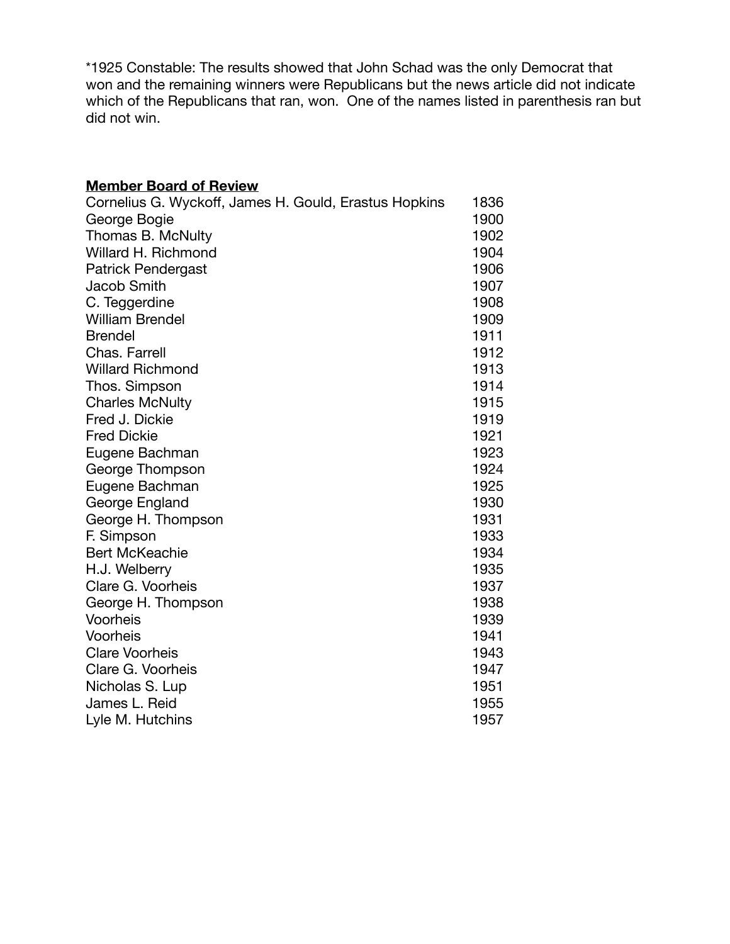\*1925 Constable: The results showed that John Schad was the only Democrat that won and the remaining winners were Republicans but the news article did not indicate which of the Republicans that ran, won. One of the names listed in parenthesis ran but did not win.

#### **Member Board of Review**

| Cornelius G. Wyckoff, James H. Gould, Erastus Hopkins | 1836 |
|-------------------------------------------------------|------|
| George Bogie                                          | 1900 |
| Thomas B. McNulty                                     | 1902 |
| Willard H. Richmond                                   | 1904 |
| <b>Patrick Pendergast</b>                             | 1906 |
| <b>Jacob Smith</b>                                    | 1907 |
| C. Teggerdine                                         | 1908 |
| <b>William Brendel</b>                                | 1909 |
| <b>Brendel</b>                                        | 1911 |
| Chas. Farrell                                         | 1912 |
| <b>Willard Richmond</b>                               | 1913 |
| Thos. Simpson                                         | 1914 |
| <b>Charles McNulty</b>                                | 1915 |
| Fred J. Dickie                                        | 1919 |
| <b>Fred Dickie</b>                                    | 1921 |
| Eugene Bachman                                        | 1923 |
| George Thompson                                       | 1924 |
| Eugene Bachman                                        | 1925 |
| George England                                        | 1930 |
| George H. Thompson                                    | 1931 |
| F. Simpson                                            | 1933 |
| <b>Bert McKeachie</b>                                 | 1934 |
| H.J. Welberry                                         | 1935 |
| Clare G. Voorheis                                     | 1937 |
| George H. Thompson                                    | 1938 |
| Voorheis                                              | 1939 |
| Voorheis                                              | 1941 |
| <b>Clare Voorheis</b>                                 | 1943 |
| Clare G. Voorheis                                     | 1947 |
| Nicholas S. Lup                                       | 1951 |
| James L. Reid                                         | 1955 |
| Lyle M. Hutchins                                      | 1957 |